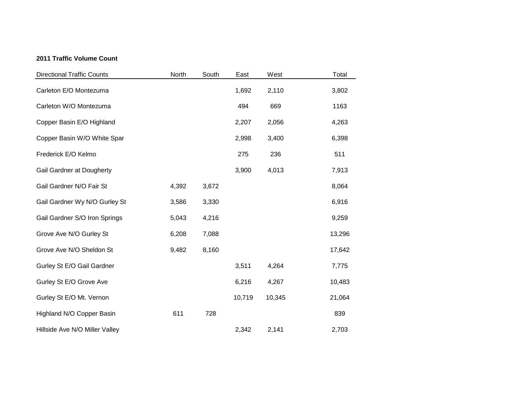## **2011 Traffic Volume Count**

| <b>Directional Traffic Counts</b> | North | South | East   | West   | Total  |
|-----------------------------------|-------|-------|--------|--------|--------|
| Carleton E/O Montezuma            |       |       | 1,692  | 2,110  | 3,802  |
| Carleton W/O Montezuma            |       |       | 494    | 669    | 1163   |
| Copper Basin E/O Highland         |       |       | 2,207  | 2,056  | 4,263  |
| Copper Basin W/O White Spar       |       |       | 2,998  | 3,400  | 6,398  |
| Frederick E/O Kelmo               |       |       | 275    | 236    | 511    |
| Gail Gardner at Dougherty         |       |       | 3,900  | 4,013  | 7,913  |
| Gail Gardner N/O Fair St          | 4,392 | 3,672 |        |        | 8,064  |
| Gail Gardner Wy N/O Gurley St     | 3,586 | 3,330 |        |        | 6,916  |
| Gail Gardner S/O Iron Springs     | 5,043 | 4,216 |        |        | 9,259  |
| Grove Ave N/O Gurley St           | 6,208 | 7,088 |        |        | 13,296 |
| Grove Ave N/O Sheldon St          | 9,482 | 8,160 |        |        | 17,642 |
| Gurley St E/O Gail Gardner        |       |       | 3,511  | 4,264  | 7,775  |
| Gurley St E/O Grove Ave           |       |       | 6,216  | 4,267  | 10,483 |
| Gurley St E/O Mt. Vernon          |       |       | 10,719 | 10,345 | 21,064 |
| Highland N/O Copper Basin         | 611   | 728   |        |        | 839    |
| Hillside Ave N/O Miller Valley    |       |       | 2,342  | 2,141  | 2,703  |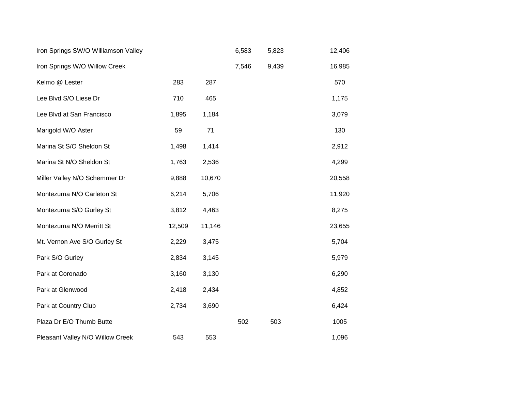| Iron Springs SW/O Williamson Valley |        |        | 6,583 | 5,823 | 12,406 |
|-------------------------------------|--------|--------|-------|-------|--------|
| Iron Springs W/O Willow Creek       |        |        | 7,546 | 9,439 | 16,985 |
| Kelmo @ Lester                      | 283    | 287    |       |       | 570    |
| Lee Blvd S/O Liese Dr               | 710    | 465    |       |       | 1,175  |
| Lee Blvd at San Francisco           | 1,895  | 1,184  |       |       | 3,079  |
| Marigold W/O Aster                  | 59     | 71     |       |       | 130    |
| Marina St S/O Sheldon St            | 1,498  | 1,414  |       |       | 2,912  |
| Marina St N/O Sheldon St            | 1,763  | 2,536  |       |       | 4,299  |
| Miller Valley N/O Schemmer Dr       | 9,888  | 10,670 |       |       | 20,558 |
| Montezuma N/O Carleton St           | 6,214  | 5,706  |       |       | 11,920 |
| Montezuma S/O Gurley St             | 3,812  | 4,463  |       |       | 8,275  |
| Montezuma N/O Merritt St            | 12,509 | 11,146 |       |       | 23,655 |
| Mt. Vernon Ave S/O Gurley St        | 2,229  | 3,475  |       |       | 5,704  |
| Park S/O Gurley                     | 2,834  | 3,145  |       |       | 5,979  |
| Park at Coronado                    | 3,160  | 3,130  |       |       | 6,290  |
| Park at Glenwood                    | 2,418  | 2,434  |       |       | 4,852  |
| Park at Country Club                | 2,734  | 3,690  |       |       | 6,424  |
| Plaza Dr E/O Thumb Butte            |        |        | 502   | 503   | 1005   |
| Pleasant Valley N/O Willow Creek    | 543    | 553    |       |       | 1,096  |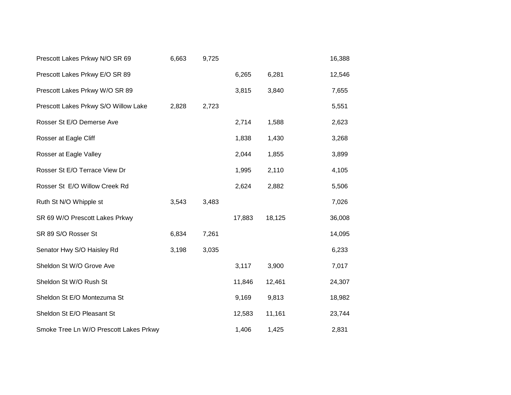| Prescott Lakes Prkwy N/O SR 69         | 6,663 | 9,725 |        |        | 16,388 |
|----------------------------------------|-------|-------|--------|--------|--------|
| Prescott Lakes Prkwy E/O SR 89         |       |       | 6,265  | 6,281  | 12,546 |
| Prescott Lakes Prkwy W/O SR 89         |       |       | 3,815  | 3,840  | 7,655  |
| Prescott Lakes Prkwy S/O Willow Lake   | 2,828 | 2,723 |        |        | 5,551  |
| Rosser St E/O Demerse Ave              |       |       | 2,714  | 1,588  | 2,623  |
| Rosser at Eagle Cliff                  |       |       | 1,838  | 1,430  | 3,268  |
| Rosser at Eagle Valley                 |       |       | 2,044  | 1,855  | 3,899  |
| Rosser St E/O Terrace View Dr          |       |       | 1,995  | 2,110  | 4,105  |
| Rosser St E/O Willow Creek Rd          |       |       | 2,624  | 2,882  | 5,506  |
| Ruth St N/O Whipple st                 | 3,543 | 3,483 |        |        | 7,026  |
| SR 69 W/O Prescott Lakes Prkwy         |       |       | 17,883 | 18,125 | 36,008 |
| SR 89 S/O Rosser St                    | 6,834 | 7,261 |        |        | 14,095 |
| Senator Hwy S/O Haisley Rd             | 3,198 | 3,035 |        |        | 6,233  |
| Sheldon St W/O Grove Ave               |       |       | 3,117  | 3,900  | 7,017  |
| Sheldon St W/O Rush St                 |       |       | 11,846 | 12,461 | 24,307 |
| Sheldon St E/O Montezuma St            |       |       | 9,169  | 9,813  | 18,982 |
| Sheldon St E/O Pleasant St             |       |       | 12,583 | 11,161 | 23,744 |
| Smoke Tree Ln W/O Prescott Lakes Prkwy |       |       | 1,406  | 1,425  | 2,831  |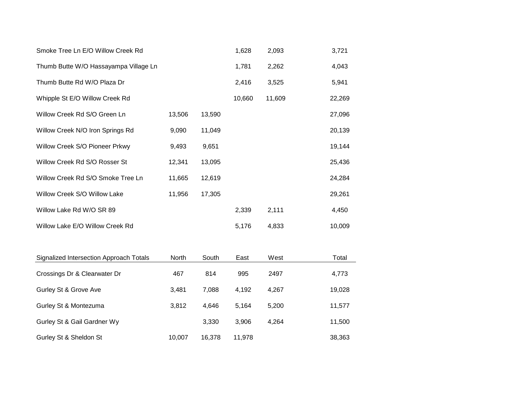| Smoke Tree Ln E/O Willow Creek Rd     |        |        | 1,628  | 2,093  | 3,721  |
|---------------------------------------|--------|--------|--------|--------|--------|
| Thumb Butte W/O Hassayampa Village Ln |        |        | 1,781  | 2,262  | 4,043  |
| Thumb Butte Rd W/O Plaza Dr           |        |        | 2,416  | 3,525  | 5,941  |
| Whipple St E/O Willow Creek Rd        |        |        | 10,660 | 11,609 | 22,269 |
| Willow Creek Rd S/O Green Ln          | 13,506 | 13,590 |        |        | 27,096 |
| Willow Creek N/O Iron Springs Rd      | 9,090  | 11,049 |        |        | 20,139 |
| Willow Creek S/O Pioneer Prkwy        | 9,493  | 9,651  |        |        | 19,144 |
| Willow Creek Rd S/O Rosser St         | 12,341 | 13,095 |        |        | 25,436 |
| Willow Creek Rd S/O Smoke Tree Ln     | 11,665 | 12,619 |        |        | 24,284 |
| Willow Creek S/O Willow Lake          | 11,956 | 17,305 |        |        | 29,261 |
| Willow Lake Rd W/O SR 89              |        |        | 2,339  | 2,111  | 4,450  |
| Willow Lake E/O Willow Creek Rd       |        |        | 5,176  | 4,833  | 10,009 |

| Signalized Intersection Approach Totals | <b>North</b> | South  | East   | West  | Total  |
|-----------------------------------------|--------------|--------|--------|-------|--------|
| Crossings Dr & Clearwater Dr            | 467          | 814    | 995    | 2497  | 4,773  |
| Gurley St & Grove Ave                   | 3.481        | 7.088  | 4,192  | 4.267 | 19,028 |
| Gurley St & Montezuma                   | 3.812        | 4.646  | 5.164  | 5.200 | 11,577 |
| Gurley St & Gail Gardner Wy             |              | 3.330  | 3.906  | 4.264 | 11,500 |
| Gurley St & Sheldon St                  | 10.007       | 16.378 | 11.978 |       | 38,363 |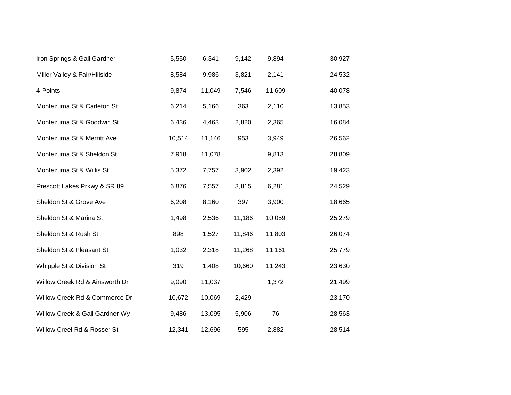| Iron Springs & Gail Gardner    | 5,550  | 6,341  | 9,142  | 9,894  | 30,927 |
|--------------------------------|--------|--------|--------|--------|--------|
| Miller Valley & Fair/Hillside  | 8,584  | 9,986  | 3,821  | 2,141  | 24,532 |
| 4-Points                       | 9,874  | 11,049 | 7,546  | 11,609 | 40,078 |
| Montezuma St & Carleton St     | 6,214  | 5,166  | 363    | 2,110  | 13,853 |
| Montezuma St & Goodwin St      | 6,436  | 4,463  | 2,820  | 2,365  | 16,084 |
| Montezuma St & Merritt Ave     | 10,514 | 11,146 | 953    | 3,949  | 26,562 |
| Montezuma St & Sheldon St      | 7,918  | 11,078 |        | 9,813  | 28,809 |
| Montezuma St & Willis St       | 5,372  | 7,757  | 3,902  | 2,392  | 19,423 |
| Prescott Lakes Prkwy & SR 89   | 6,876  | 7,557  | 3,815  | 6,281  | 24,529 |
| Sheldon St & Grove Ave         | 6,208  | 8,160  | 397    | 3,900  | 18,665 |
| Sheldon St & Marina St         | 1,498  | 2,536  | 11,186 | 10,059 | 25,279 |
| Sheldon St & Rush St           | 898    | 1,527  | 11,846 | 11,803 | 26,074 |
| Sheldon St & Pleasant St       | 1,032  | 2,318  | 11,268 | 11,161 | 25,779 |
| Whipple St & Division St       | 319    | 1,408  | 10,660 | 11,243 | 23,630 |
| Willow Creek Rd & Ainsworth Dr | 9,090  | 11,037 |        | 1,372  | 21,499 |
| Willow Creek Rd & Commerce Dr  | 10,672 | 10,069 | 2,429  |        | 23,170 |
| Willow Creek & Gail Gardner Wy | 9,486  | 13,095 | 5,906  | 76     | 28,563 |
| Willow Creel Rd & Rosser St    | 12,341 | 12,696 | 595    | 2,882  | 28,514 |